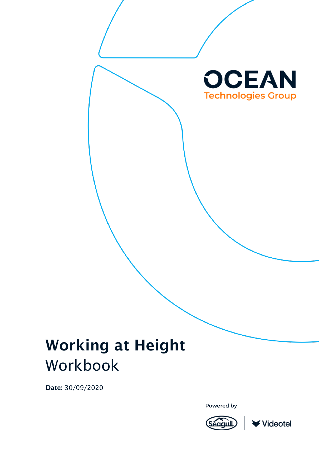

# Working at Height Workbook

Date: 30/09/2020

Powered by



Videotel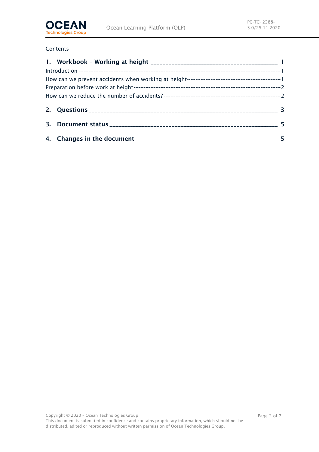

#### Contents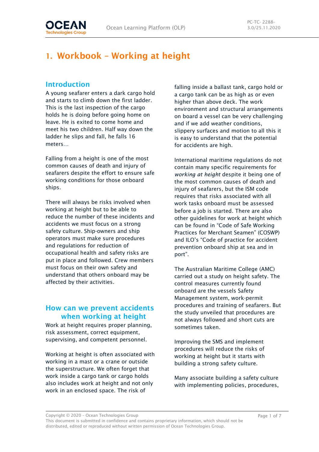

# <span id="page-2-0"></span>1. Workbook – Working at height

### <span id="page-2-1"></span>Introduction

A young seafarer enters a dark cargo hold and starts to climb down the first ladder. This is the last inspection of the cargo holds he is doing before going home on leave. He is exited to come home and meet his two children. Half way down the ladder he slips and fall, he falls 16 meters…

Falling from a height is one of the most common causes of death and injury of seafarers despite the effort to ensure safe working conditions for those onboard ships.

There will always be risks involved when working at height but to be able to reduce the number of these incidents and accidents we must focus on a strong safety culture. Ship-owners and ship operators must make sure procedures and regulations for reduction of occupational health and safety risks are put in place and followed. Crew members must focus on their own safety and understand that others onboard may be affected by their activities.

### <span id="page-2-2"></span>How can we prevent accidents when working at height

Work at height requires proper planning, risk assessment, correct equipment, supervising, and competent personnel.

Working at height is often associated with working in a mast or a crane or outside the superstructure. We often forget that work inside a cargo tank or cargo holds also includes work at height and not only work in an enclosed space. The risk of

falling inside a ballast tank, cargo hold or a cargo tank can be as high as or even higher than above deck. The work environment and structural arrangements on board a vessel can be very challenging and if we add weather conditions, slippery surfaces and motion to all this it is easy to understand that the potential for accidents are high.

International maritime regulations do not contain many specific requirements for *working at height* despite it being one of the most common causes of death and injury of seafarers, but the ISM code requires that risks associated with all work tasks onboard must be assessed before a job is started. There are also other guidelines for work at height which can be found in "Code of Safe Working Practices for Merchant Seamen" (COSWP) and ILO's "Code of practice for accident prevention onboard ship at sea and in port".

The Australian Maritime College (AMC) carried out a study on height safety. The control measures currently found onboard are the vessels Safety Management system, work-permit procedures and training of seafarers. But the study unveiled that procedures are not always followed and short cuts are sometimes taken.

Improving the SMS and implement procedures will reduce the risks of working at height but it starts with building a strong safety culture.

Many associate building a safety culture with implementing policies, procedures,

Copyright © 2020 – Ocean Technologies Group

This document is submitted in confidence and contains proprietary information, which should not be distributed, edited or reproduced without written permission of Ocean Technologies Group.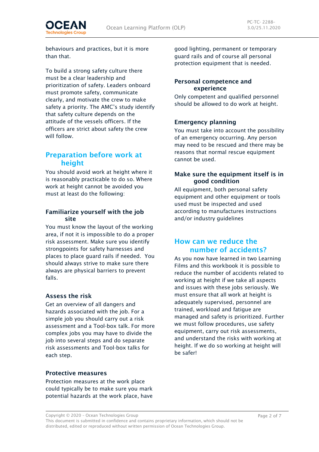behaviours and practices, but it is more than that.

To build a strong safety culture there must be a clear leadership and prioritization of safety. Leaders onboard must promote safety, communicate clearly, and motivate the crew to make safety a priority. The AMC's study identify that safety culture depends on the attitude of the vessels officers. If the officers are strict about safety the crew will follow.

### <span id="page-3-0"></span>Preparation before work at height

You should avoid work at height where it is reasonably practicable to do so. Where work at height cannot be avoided you must at least do the following:

#### Familiarize yourself with the job site

You must know the layout of the working area, if not it is impossible to do a proper risk assessment. Make sure you identify strongpoints for safety harnesses and places to place guard rails if needed. You should always strive to make sure there always are physical barriers to prevent falls.

#### Assess the risk

Get an overview of all dangers and hazards associated with the job. For a simple job you should carry out a risk assessment and a Tool-box talk. For more complex jobs you may have to divide the job into several steps and do separate risk assessments and Tool-box talks for each step.

#### Protective measures

Protection measures at the work place could typically be to make sure you mark potential hazards at the work place, have

good lighting, permanent or temporary guard rails and of course all personal protection equipment that is needed.

#### Personal competence and experience

Only competent and qualified personnel should be allowed to do work at height.

#### Emergency planning

You must take into account the possibility of an emergency occurring. Any person may need to be rescued and there may be reasons that normal rescue equipment cannot be used.

#### Make sure the equipment itself is in good condition

All equipment, both personal safety equipment and other equipment or tools used must be inspected and used according to manufactures instructions and/or industry guidelines

### <span id="page-3-1"></span>How can we reduce the number of accidents?

As you now have learned in two Learning Films and this workbook it is possible to reduce the number of accidents related to working at height if we take all aspects and issues with these jobs seriously. We must ensure that all work at height is adequately supervised, personnel are trained, workload and fatigue are managed and safety is prioritized. Further we must follow procedures, use safety equipment, carry out risk assessments, and understand the risks with working at height. If we do so working at height will be safer!

Copyright © 2020 – Ocean Technologies Group

This document is submitted in confidence and contains proprietary information, which should not be distributed, edited or reproduced without written permission of Ocean Technologies Group.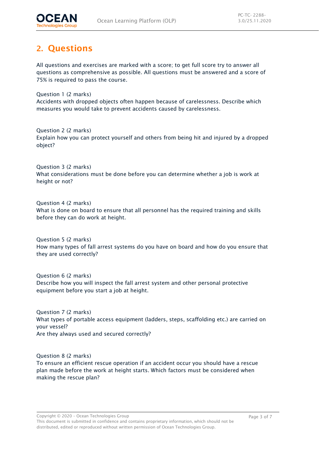

## <span id="page-4-0"></span>2. Questions

All questions and exercises are marked with a score; to get full score try to answer all questions as comprehensive as possible. All questions must be answered and a score of 75% is required to pass the course.

Question 1 (2 marks) Accidents with dropped objects often happen because of carelessness. Describe which measures you would take to prevent accidents caused by carelessness.

Question 2 (2 marks) Explain how you can protect yourself and others from being hit and injured by a dropped object?

Question 3 (2 marks) What considerations must be done before you can determine whether a job is work at height or not?

Question 4 (2 marks) What is done on board to ensure that all personnel has the required training and skills before they can do work at height.

Question 5 (2 marks) How many types of fall arrest systems do you have on board and how do you ensure that they are used correctly?

Question 6 (2 marks) Describe how you will inspect the fall arrest system and other personal protective equipment before you start a job at height.

Question 7 (2 marks) What types of portable access equipment (ladders, steps, scaffolding etc.) are carried on your vessel? Are they always used and secured correctly?

Question 8 (2 marks) To ensure an efficient rescue operation if an accident occur you should have a rescue plan made before the work at height starts. Which factors must be considered when making the rescue plan?

This document is submitted in confidence and contains proprietary information, which should not be distributed, edited or reproduced without written permission of Ocean Technologies Group.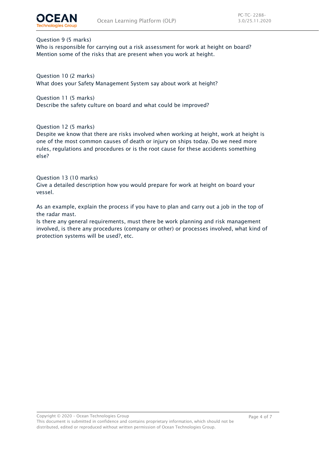



#### Question 9 (5 marks)

Who is responsible for carrying out a risk assessment for work at height on board? Mention some of the risks that are present when you work at height.

Question 10 (2 marks) What does your Safety Management System say about work at height?

Question 11 (5 marks) Describe the safety culture on board and what could be improved?

Question 12 (5 marks)

Despite we know that there are risks involved when working at height, work at height is one of the most common causes of death or injury on ships today. Do we need more rules, regulations and procedures or is the root cause for these accidents something else?

Question 13 (10 marks)

Give a detailed description how you would prepare for work at height on board your vessel.

As an example, explain the process if you have to plan and carry out a job in the top of the radar mast.

Is there any general requirements, must there be work planning and risk management involved, is there any procedures (company or other) or processes involved, what kind of protection systems will be used?, etc.

Copyright © 2020 – Ocean Technologies Group

This document is submitted in confidence and contains proprietary information, which should not be distributed, edited or reproduced without written permission of Ocean Technologies Group.